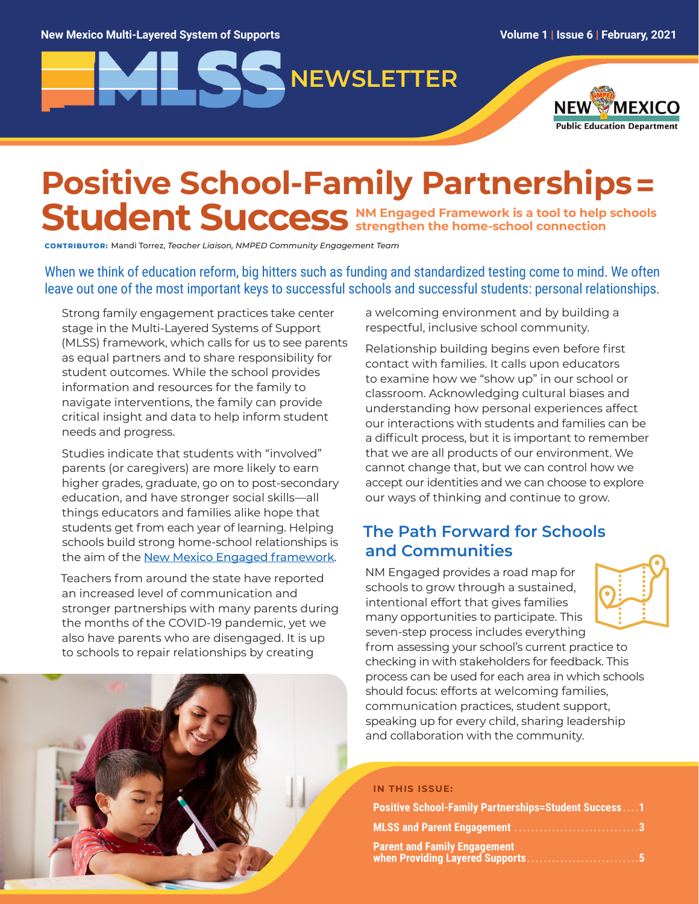# **NEWSLETTER**



## **Positive School-Family Partnerships=** Student Success NM Engaged Framework is a tool to help schools **strengthen the home-school connection**

**CONTRIBUTOR:** Mandi Torrez, *Teacher Liaison, NMPED Community Engagement Team*

When we think of education reform, big hitters such as funding and standardized testing come to mind. We often leave out one of the most important keys to successful schools and successful students: personal relationships.

Strong family engagement practices take center stage in the Multi-Layered Systems of Support (MLSS) framework, which calls for us to see parents as equal partners and to share responsibility for student outcomes. While the school provides information and resources for the family to navigate interventions, the family can provide critical insight and data to help inform student needs and progress.

Studies indicate that students with "involved" parents (or caregivers) are more likely to earn higher grades, graduate, go on to post-secondary education, and have stronger social skills—all things educators and families alike hope that students get from each year of learning. Helping schools build strong home-school relationships is the aim of the [New Mexico Engaged framework](http://nmengaged.com/).

Teachers from around the state have reported an increased level of communication and stronger partnerships with many parents during the months of the COVID-19 pandemic, yet we also have parents who are disengaged. It is up to schools to repair relationships by creating

a welcoming environment and by building a respectful, inclusive school community.

Relationship building begins even before first contact with families. It calls upon educators to examine how we "show up" in our school or classroom. Acknowledging cultural biases and understanding how personal experiences affect our interactions with students and families can be a difficult process, but it is important to remember that we are all products of our environment. We cannot change that, but we can control how we accept our identities and we can choose to explore our ways of thinking and continue to grow.

#### **The Path Forward for Schools and Communities**

NM Engaged provides a road map for schools to grow through a sustained, intentional effort that gives families many opportunities to participate. This seven-step process includes everything



from assessing your school's current practice to checking in with stakeholders for feedback. This process can be used for each area in which schools should focus: efforts at welcoming families, communication practices, student support, speaking up for every child, sharing leadership and collaboration with the community.

#### **IN THIS ISSUE:**

| <b>Positive School-Family Partnerships=Student Success1</b>      |  |
|------------------------------------------------------------------|--|
|                                                                  |  |
| Parent and Family Engagement<br>when Providing Layered Supports5 |  |

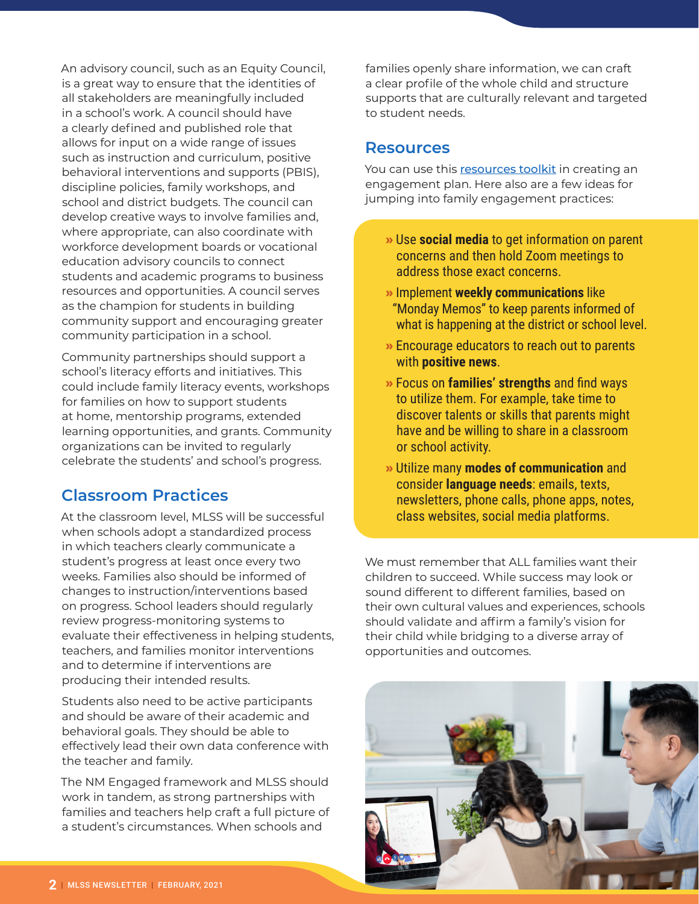An advisory council, such as an Equity Council, is a great way to ensure that the identities of all stakeholders are meaningfully included in a school's work. A council should have a clearly defined and published role that allows for input on a wide range of issues such as instruction and curriculum, positive behavioral interventions and supports (PBIS), discipline policies, family workshops, and school and district budgets. The council can develop creative ways to involve families and, where appropriate, can also coordinate with workforce development boards or vocational education advisory councils to connect students and academic programs to business resources and opportunities. A council serves as the champion for students in building community support and encouraging greater community participation in a school.

Community partnerships should support a school's literacy efforts and initiatives. This could include family literacy events, workshops for families on how to support students at home, mentorship programs, extended learning opportunities, and grants. Community organizations can be invited to regularly celebrate the students' and school's progress.

#### **Classroom Practices**

At the classroom level, MLSS will be successful when schools adopt a standardized process in which teachers clearly communicate a student's progress at least once every two weeks. Families also should be informed of changes to instruction/interventions based on progress. School leaders should regularly review progress-monitoring systems to evaluate their effectiveness in helping students, teachers, and families monitor interventions and to determine if interventions are producing their intended results.

Students also need to be active participants and should be aware of their academic and behavioral goals. They should be able to effectively lead their own data conference with the teacher and family.

The NM Engaged framework and MLSS should work in tandem, as strong partnerships with families and teachers help craft a full picture of a student's circumstances. When schools and

families openly share information, we can craft a clear profile of the whole child and structure supports that are culturally relevant and targeted to student needs.

#### **Resources**

You can use this [resources toolkit](http://nmengaged.com/resources-toolkit/) in creating an engagement plan. Here also are a few ideas for jumping into family engagement practices:

- **»** Use **social media** to get information on parent concerns and then hold Zoom meetings to address those exact concerns.
- **»** Implement **weekly communications** like "Monday Memos" to keep parents informed of what is happening at the district or school level.
- **»** Encourage educators to reach out to parents with **positive news**.
- **»** Focus on **families' strengths** and find ways to utilize them. For example, take time to discover talents or skills that parents might have and be willing to share in a classroom or school activity.
- **»** Utilize many **modes of communication** and consider **language needs**: emails, texts, newsletters, phone calls, phone apps, notes, class websites, social media platforms.

We must remember that ALL families want their children to succeed. While success may look or sound different to different families, based on their own cultural values and experiences, schools should validate and affirm a family's vision for their child while bridging to a diverse array of opportunities and outcomes.

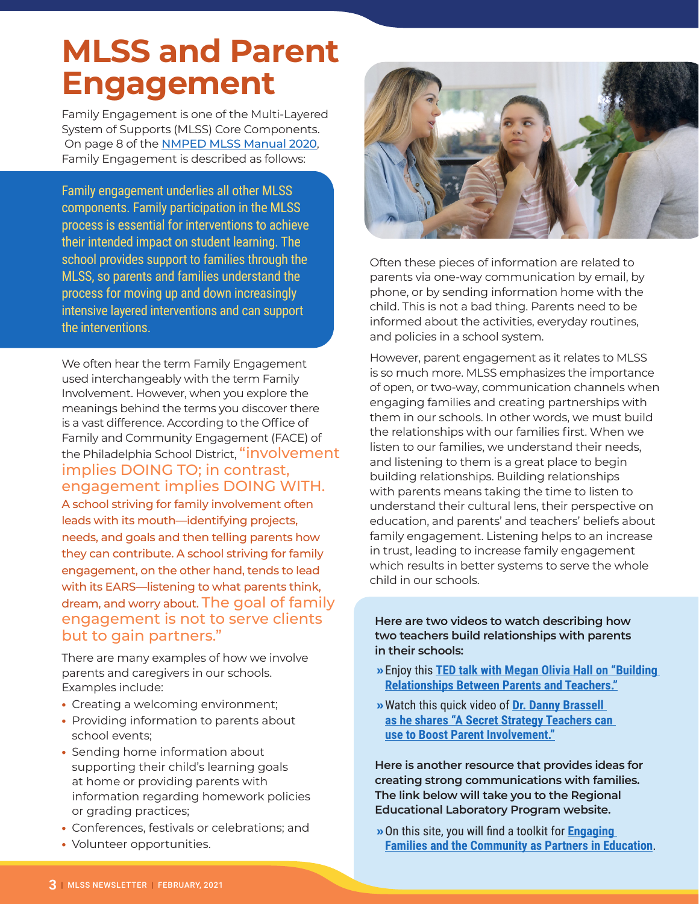# **MLSS and Parent Engagement**

Family Engagement is one of the Multi-Layered System of Supports (MLSS) Core Components. On page 8 of the [NMPED MLSS Manual 2020](https://webnew.ped.state.nm.us/wp-content/uploads/2020/11/MLSS_Manual_2020.pdf), Family Engagement is described as follows:

Family engagement underlies all other MLSS components. Family participation in the MLSS process is essential for interventions to achieve their intended impact on student learning. The school provides support to families through the MLSS, so parents and families understand the process for moving up and down increasingly intensive layered interventions and can support the interventions.

We often hear the term Family Engagement used interchangeably with the term Family Involvement. However, when you explore the meanings behind the terms you discover there is a vast difference. According to the Office of Family and Community Engagement (FACE) of the Philadelphia School District, "involvement implies DOING TO; in contrast, engagement implies DOING WITH.

A school striving for family involvement often leads with its mouth—identifying projects, needs, and goals and then telling parents how they can contribute. A school striving for family engagement, on the other hand, tends to lead with its EARS—listening to what parents think, dream, and worry about. The goal of family engagement is not to serve clients but to gain partners."

There are many examples of how we involve parents and caregivers in our schools. Examples include:

- **•** Creating a welcoming environment;
- **•** Providing information to parents about school events;
- **•** Sending home information about supporting their child's learning goals at home or providing parents with information regarding homework policies or grading practices;
- **•** Conferences, festivals or celebrations; and
- **•** Volunteer opportunities.



Often these pieces of information are related to parents via one-way communication by email, by phone, or by sending information home with the child. This is not a bad thing. Parents need to be informed about the activities, everyday routines, and policies in a school system.

However, parent engagement as it relates to MLSS is so much more. MLSS emphasizes the importance of open, or two-way, communication channels when engaging families and creating partnerships with them in our schools. In other words, we must build the relationships with our families first. When we listen to our families, we understand their needs, and listening to them is a great place to begin building relationships. Building relationships with parents means taking the time to listen to understand their cultural lens, their perspective on education, and parents' and teachers' beliefs about family engagement. Listening helps to an increase in trust, leading to increase family engagement which results in better systems to serve the whole child in our schools.

**Here are two videos to watch describing how two teachers build relationships with parents in their schools:**

- **»**Enjoy this **[TED talk with Megan Olivia Hall on "Building](https://www.youtube.com/watch?v=kin2OdchKMQ)  [Relationships Between Parents and Teachers](https://www.youtube.com/watch?v=kin2OdchKMQ)."**
- **»**Watch this quick video of **[Dr. Danny Brassell](https://youtu.be/YUQyi-R0qIg)  [as he shares "A Secret Strategy Teachers can](https://youtu.be/YUQyi-R0qIg)  [use to Boost Parent Involvement](https://youtu.be/YUQyi-R0qIg)."**

**Here is another resource that provides ideas for creating strong communications with families. The link below will take you to the Regional Educational Laboratory Program website.** 

**»**On this site, you will find a toolkit for **[Engaging](https://ies.ed.gov/ncee/edlabs/projects/project.asp?projectID=4509)  [Families and the Community as Partners in Education](https://ies.ed.gov/ncee/edlabs/projects/project.asp?projectID=4509)**.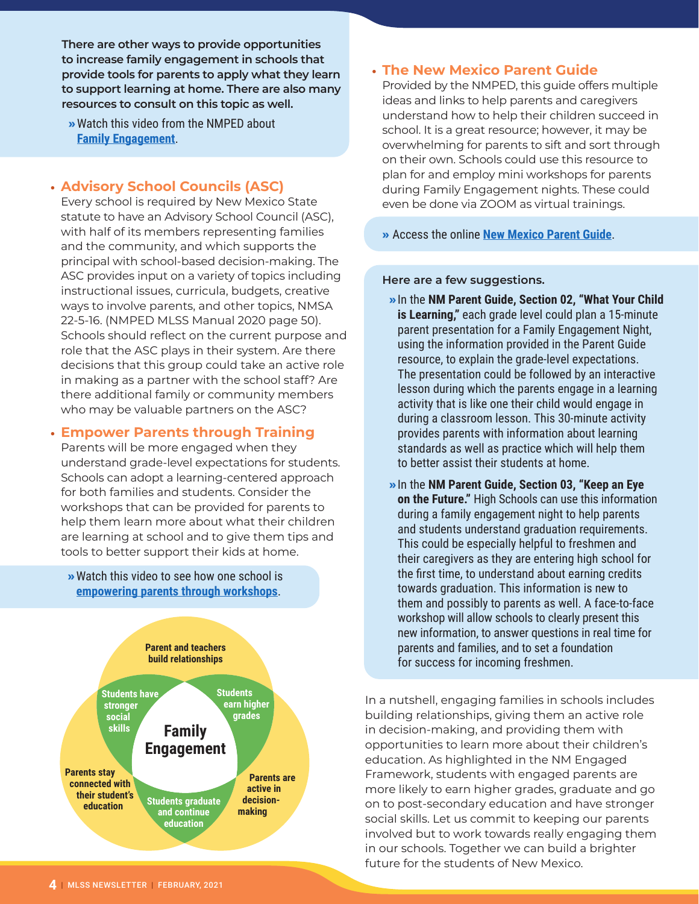**There are other ways to provide opportunities to increase family engagement in schools that provide tools for parents to apply what they learn to support learning at home. There are also many resources to consult on this topic as well.** 

**»**Watch this video from the NMPED about **[Family Engagement](https://live.myvrspot.com/iframe?v=YTRlOTQ1YzdlOGE4Yjg2YTE0ODFjMWQxMGRlNmMxM2M)**.

#### **• Advisory School Councils (ASC)**

Every school is required by New Mexico State statute to have an Advisory School Council (ASC), with half of its members representing families and the community, and which supports the principal with school-based decision-making. The ASC provides input on a variety of topics including instructional issues, curricula, budgets, creative ways to involve parents, and other topics, NMSA 22-5-16. (NMPED MLSS Manual 2020 page 50). Schools should reflect on the current purpose and role that the ASC plays in their system. Are there decisions that this group could take an active role in making as a partner with the school staff? Are there additional family or community members who may be valuable partners on the ASC?

#### **• Empower Parents through Training**

Parents will be more engaged when they understand grade-level expectations for students. Schools can adopt a learning-centered approach for both families and students. Consider the workshops that can be provided for parents to help them learn more about what their children are learning at school and to give them tips and tools to better support their kids at home.



#### **• The New Mexico Parent Guide**

Provided by the NMPED, this guide offers multiple ideas and links to help parents and caregivers understand how to help their children succeed in school. It is a great resource; however, it may be overwhelming for parents to sift and sort through on their own. Schools could use this resource to plan for and employ mini workshops for parents during Family Engagement nights. These could even be done via ZOOM as virtual trainings.

**»** Access the online **[New Mexico Parent Guide](https://families.ped.state.nm.us/#)**.

#### **Here are a few suggestions.**

- **»**In the **NM Parent Guide, Section 02, "What Your Child is Learning,"** each grade level could plan a 15-minute parent presentation for a Family Engagement Night, using the information provided in the Parent Guide resource, to explain the grade-level expectations. The presentation could be followed by an interactive lesson during which the parents engage in a learning activity that is like one their child would engage in during a classroom lesson. This 30-minute activity provides parents with information about learning standards as well as practice which will help them to better assist their students at home.
- **»**In the **NM Parent Guide, Section 03, "Keep an Eye on the Future."** High Schools can use this information during a family engagement night to help parents and students understand graduation requirements. This could be especially helpful to freshmen and their caregivers as they are entering high school for the first time, to understand about earning credits towards graduation. This information is new to them and possibly to parents as well. A face-to-face workshop will allow schools to clearly present this new information, to answer questions in real time for parents and families, and to set a foundation for success for incoming freshmen.

In a nutshell, engaging families in schools includes building relationships, giving them an active role in decision-making, and providing them with opportunities to learn more about their children's education. As highlighted in the NM Engaged Framework, students with engaged parents are more likely to earn higher grades, graduate and go on to post-secondary education and have stronger social skills. Let us commit to keeping our parents involved but to work towards really engaging them in our schools. Together we can build a brighter future for the students of New Mexico.